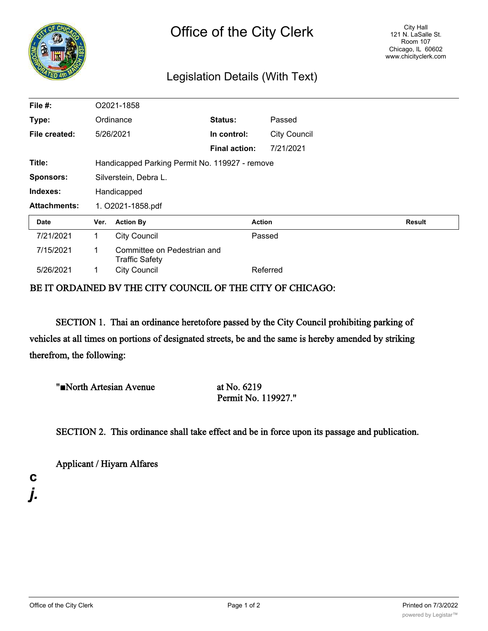

## Legislation Details (With Text)

| File #:             | O2021-1858                                     |                                                      |                      |               |                     |  |        |  |
|---------------------|------------------------------------------------|------------------------------------------------------|----------------------|---------------|---------------------|--|--------|--|
| Type:               |                                                | Ordinance                                            | Status:              |               | Passed              |  |        |  |
| File created:       |                                                | 5/26/2021                                            | In control:          |               | <b>City Council</b> |  |        |  |
|                     |                                                |                                                      | <b>Final action:</b> |               | 7/21/2021           |  |        |  |
| Title:              | Handicapped Parking Permit No. 119927 - remove |                                                      |                      |               |                     |  |        |  |
| <b>Sponsors:</b>    | Silverstein, Debra L.                          |                                                      |                      |               |                     |  |        |  |
| Indexes:            | Handicapped                                    |                                                      |                      |               |                     |  |        |  |
| <b>Attachments:</b> | 1. O2021-1858.pdf                              |                                                      |                      |               |                     |  |        |  |
| Date                | Ver.                                           | <b>Action By</b>                                     |                      | <b>Action</b> |                     |  | Result |  |
| 7/21/2021           | 1.                                             | <b>City Council</b>                                  |                      | Passed        |                     |  |        |  |
| 7/15/2021           | 1                                              | Committee on Pedestrian and<br><b>Traffic Safety</b> |                      |               |                     |  |        |  |
| 5/26/2021           |                                                | <b>City Council</b>                                  |                      | Referred      |                     |  |        |  |

## BE IT ORDAINED BV THE CITY COUNCIL OF THE CITY OF CHICAGO:

SECTION 1. Thai an ordinance heretofore passed by the City Council prohibiting parking of vehicles at all times on portions of designated streets, be and the same is hereby amended by striking therefrom, the following:

| "North Artesian Avenue | at No. 6219         |  |  |
|------------------------|---------------------|--|--|
|                        | Permit No. 119927." |  |  |

SECTION 2. This ordinance shall take effect and be in force upon its passage and publication.

Applicant / Hiyarn Alfares

**c** *j.*